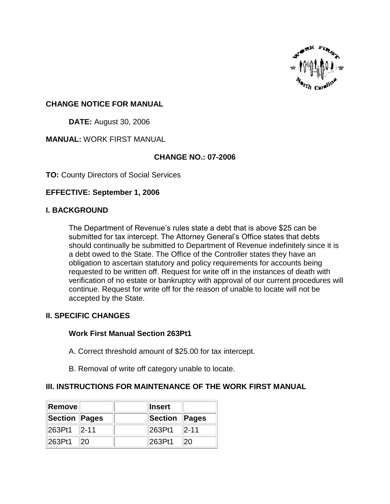

## **CHANGE NOTICE FOR MANUAL**

**DATE:** August 30, 2006

## **MANUAL:** WORK FIRST MANUAL

# **CHANGE NO.: 07-2006**

**TO:** County Directors of Social Services

## **EFFECTIVE: September 1, 2006**

#### **I. BACKGROUND**

The Department of Revenue's rules state a debt that is above \$25 can be submitted for tax intercept. The Attorney General's Office states that debts should continually be submitted to Department of Revenue indefinitely since it is a debt owed to the State. The Office of the Controller states they have an obligation to ascertain statutory and policy requirements for accounts being requested to be written off. Request for write off in the instances of death with verification of no estate or bankruptcy with approval of our current procedures will continue. Request for write off for the reason of unable to locate will not be accepted by the State.

## **II. SPECIFIC CHANGES**

## **Work First Manual Section 263Pt1**

- A. Correct threshold amount of \$25.00 for tax intercept.
- B. Removal of write off category unable to locate.

## **III. INSTRUCTIONS FOR MAINTENANCE OF THE WORK FIRST MANUAL**

| ∣Remove∣      |     | <b>Insert</b>      |               |
|---------------|-----|--------------------|---------------|
| Section Pages |     |                    | Section Pages |
| 263Pt1 2-11   |     | $ 263P11 $ $ 2-11$ |               |
| 263Pt1        | 120 | 263Pt1             | 20            |